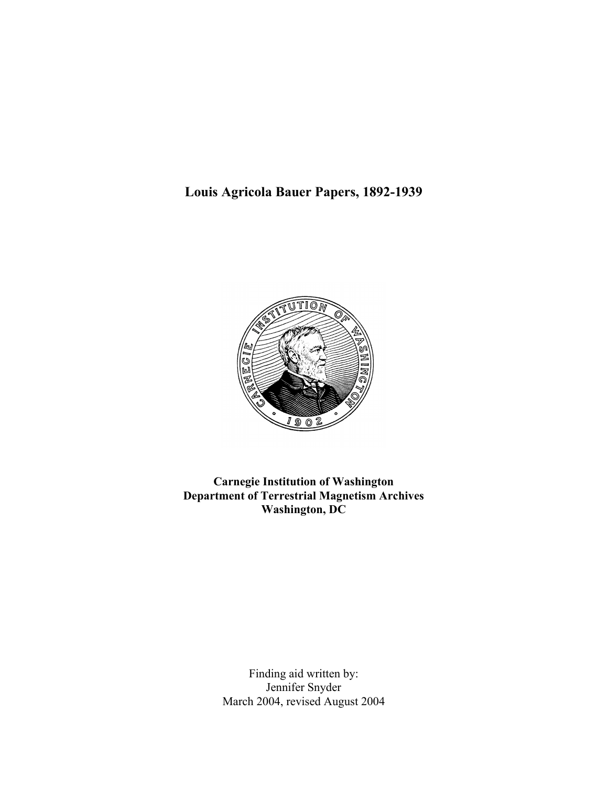**Louis Agricola Bauer Papers, 1892-1939**



**Carnegie Institution of Washington Department of Terrestrial Magnetism Archives Washington, DC**

> Finding aid written by: Jennifer Snyder March 2004, revised August 2004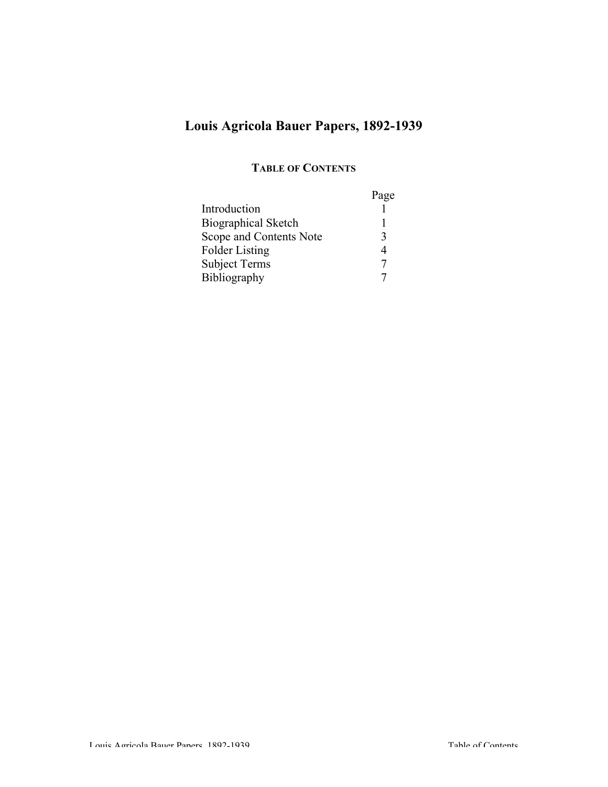# **Louis Agricola Bauer Papers, 1892-1939**

# **TABLE OF CONTENTS**

|                            | Page |
|----------------------------|------|
| Introduction               |      |
| <b>Biographical Sketch</b> |      |
| Scope and Contents Note    | 3    |
| <b>Folder Listing</b>      | 4    |
| <b>Subject Terms</b>       |      |
| <b>Bibliography</b>        |      |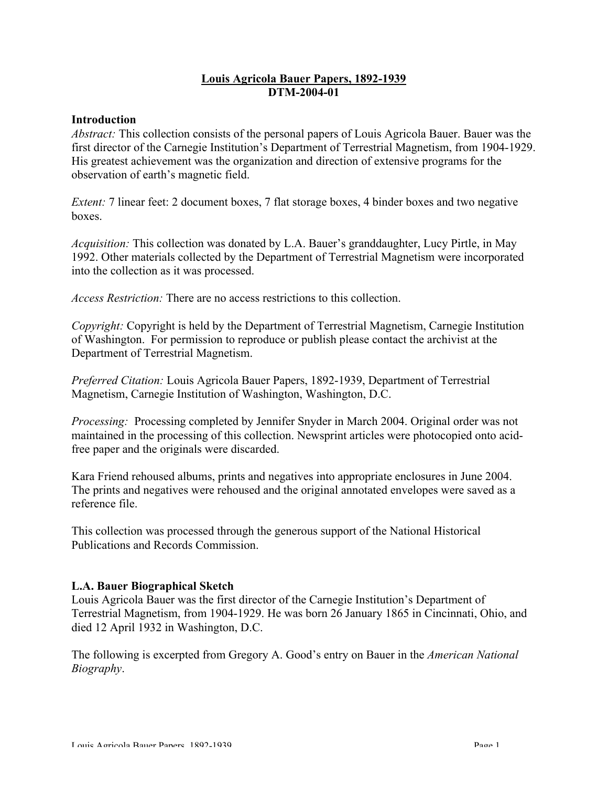# **Louis Agricola Bauer Papers, 1892-1939 DTM-2004-01**

#### **Introduction**

*Abstract:* This collection consists of the personal papers of Louis Agricola Bauer. Bauer was the first director of the Carnegie Institution's Department of Terrestrial Magnetism, from 1904-1929. His greatest achievement was the organization and direction of extensive programs for the observation of earth's magnetic field.

*Extent:* 7 linear feet: 2 document boxes, 7 flat storage boxes, 4 binder boxes and two negative boxes.

*Acquisition:* This collection was donated by L.A. Bauer's granddaughter, Lucy Pirtle, in May 1992. Other materials collected by the Department of Terrestrial Magnetism were incorporated into the collection as it was processed.

*Access Restriction:* There are no access restrictions to this collection.

*Copyright:* Copyright is held by the Department of Terrestrial Magnetism, Carnegie Institution of Washington. For permission to reproduce or publish please contact the archivist at the Department of Terrestrial Magnetism.

*Preferred Citation:* Louis Agricola Bauer Papers, 1892-1939, Department of Terrestrial Magnetism, Carnegie Institution of Washington, Washington, D.C.

*Processing:* Processing completed by Jennifer Snyder in March 2004. Original order was not maintained in the processing of this collection. Newsprint articles were photocopied onto acidfree paper and the originals were discarded.

Kara Friend rehoused albums, prints and negatives into appropriate enclosures in June 2004. The prints and negatives were rehoused and the original annotated envelopes were saved as a reference file.

This collection was processed through the generous support of the National Historical Publications and Records Commission.

#### **L.A. Bauer Biographical Sketch**

Louis Agricola Bauer was the first director of the Carnegie Institution's Department of Terrestrial Magnetism, from 1904-1929. He was born 26 January 1865 in Cincinnati, Ohio, and died 12 April 1932 in Washington, D.C.

The following is excerpted from Gregory A. Good's entry on Bauer in the *American National Biography*.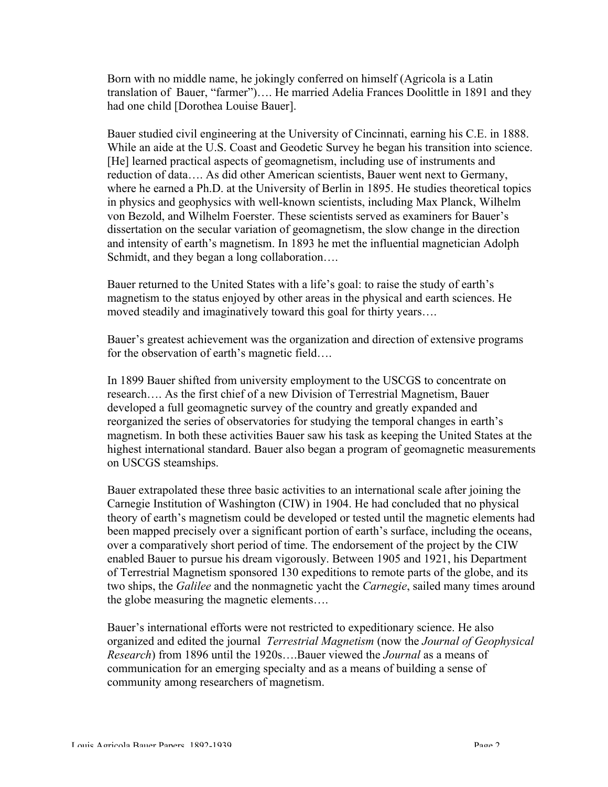Born with no middle name, he jokingly conferred on himself (Agricola is a Latin translation of Bauer, "farmer")…. He married Adelia Frances Doolittle in 1891 and they had one child [Dorothea Louise Bauer].

Bauer studied civil engineering at the University of Cincinnati, earning his C.E. in 1888. While an aide at the U.S. Coast and Geodetic Survey he began his transition into science. [He] learned practical aspects of geomagnetism, including use of instruments and reduction of data…. As did other American scientists, Bauer went next to Germany, where he earned a Ph.D. at the University of Berlin in 1895. He studies theoretical topics in physics and geophysics with well-known scientists, including Max Planck, Wilhelm von Bezold, and Wilhelm Foerster. These scientists served as examiners for Bauer's dissertation on the secular variation of geomagnetism, the slow change in the direction and intensity of earth's magnetism. In 1893 he met the influential magnetician Adolph Schmidt, and they began a long collaboration....

Bauer returned to the United States with a life's goal: to raise the study of earth's magnetism to the status enjoyed by other areas in the physical and earth sciences. He moved steadily and imaginatively toward this goal for thirty years….

Bauer's greatest achievement was the organization and direction of extensive programs for the observation of earth's magnetic field….

In 1899 Bauer shifted from university employment to the USCGS to concentrate on research…. As the first chief of a new Division of Terrestrial Magnetism, Bauer developed a full geomagnetic survey of the country and greatly expanded and reorganized the series of observatories for studying the temporal changes in earth's magnetism. In both these activities Bauer saw his task as keeping the United States at the highest international standard. Bauer also began a program of geomagnetic measurements on USCGS steamships.

Bauer extrapolated these three basic activities to an international scale after joining the Carnegie Institution of Washington (CIW) in 1904. He had concluded that no physical theory of earth's magnetism could be developed or tested until the magnetic elements had been mapped precisely over a significant portion of earth's surface, including the oceans, over a comparatively short period of time. The endorsement of the project by the CIW enabled Bauer to pursue his dream vigorously. Between 1905 and 1921, his Department of Terrestrial Magnetism sponsored 130 expeditions to remote parts of the globe, and its two ships, the *Galilee* and the nonmagnetic yacht the *Carnegie*, sailed many times around the globe measuring the magnetic elements….

Bauer's international efforts were not restricted to expeditionary science. He also organized and edited the journal *Terrestrial Magnetism* (now the *Journal of Geophysical Research*) from 1896 until the 1920s….Bauer viewed the *Journal* as a means of communication for an emerging specialty and as a means of building a sense of community among researchers of magnetism.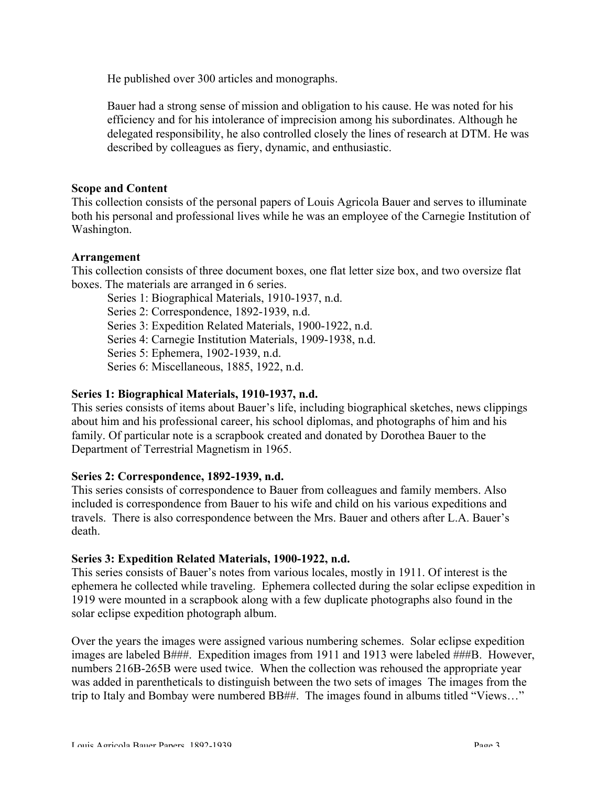He published over 300 articles and monographs.

Bauer had a strong sense of mission and obligation to his cause. He was noted for his efficiency and for his intolerance of imprecision among his subordinates. Although he delegated responsibility, he also controlled closely the lines of research at DTM. He was described by colleagues as fiery, dynamic, and enthusiastic.

# **Scope and Content**

This collection consists of the personal papers of Louis Agricola Bauer and serves to illuminate both his personal and professional lives while he was an employee of the Carnegie Institution of Washington.

# **Arrangement**

This collection consists of three document boxes, one flat letter size box, and two oversize flat boxes. The materials are arranged in 6 series.

Series 1: Biographical Materials, 1910-1937, n.d.

Series 2: Correspondence, 1892-1939, n.d.

Series 3: Expedition Related Materials, 1900-1922, n.d.

Series 4: Carnegie Institution Materials, 1909-1938, n.d.

Series 5: Ephemera, 1902-1939, n.d.

Series 6: Miscellaneous, 1885, 1922, n.d.

# **Series 1: Biographical Materials, 1910-1937, n.d.**

This series consists of items about Bauer's life, including biographical sketches, news clippings about him and his professional career, his school diplomas, and photographs of him and his family. Of particular note is a scrapbook created and donated by Dorothea Bauer to the Department of Terrestrial Magnetism in 1965.

#### **Series 2: Correspondence, 1892-1939, n.d.**

This series consists of correspondence to Bauer from colleagues and family members. Also included is correspondence from Bauer to his wife and child on his various expeditions and travels. There is also correspondence between the Mrs. Bauer and others after L.A. Bauer's death.

#### **Series 3: Expedition Related Materials, 1900-1922, n.d.**

This series consists of Bauer's notes from various locales, mostly in 1911. Of interest is the ephemera he collected while traveling. Ephemera collected during the solar eclipse expedition in 1919 were mounted in a scrapbook along with a few duplicate photographs also found in the solar eclipse expedition photograph album.

Over the years the images were assigned various numbering schemes. Solar eclipse expedition images are labeled B###. Expedition images from 1911 and 1913 were labeled ###B. However, numbers 216B-265B were used twice. When the collection was rehoused the appropriate year was added in parentheticals to distinguish between the two sets of images The images from the trip to Italy and Bombay were numbered BB##. The images found in albums titled "Views..."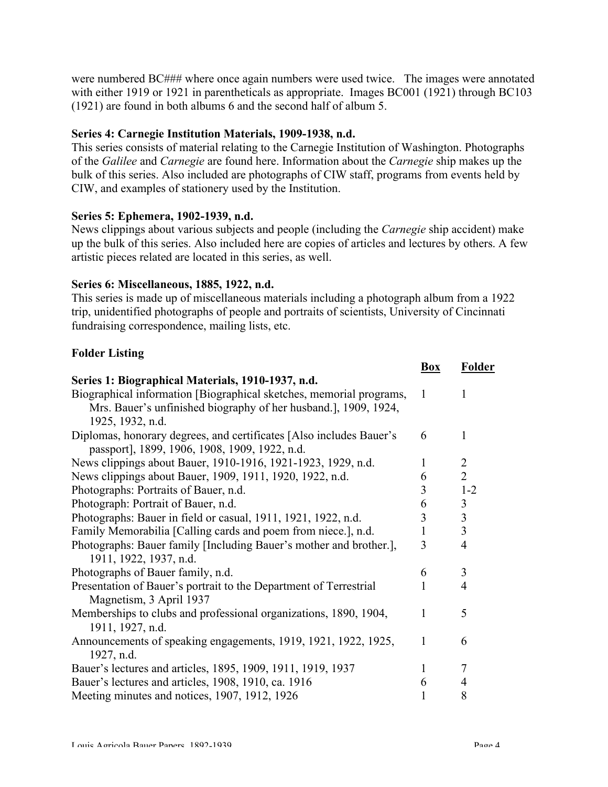were numbered BC### where once again numbers were used twice. The images were annotated with either 1919 or 1921 in parentheticals as appropriate. Images BC001 (1921) through BC103 (1921) are found in both albums 6 and the second half of album 5.

# **Series 4: Carnegie Institution Materials, 1909-1938, n.d.**

This series consists of material relating to the Carnegie Institution of Washington. Photographs of the *Galilee* and *Carnegie* are found here. Information about the *Carnegie* ship makes up the bulk of this series. Also included are photographs of CIW staff, programs from events held by CIW, and examples of stationery used by the Institution.

#### **Series 5: Ephemera, 1902-1939, n.d.**

News clippings about various subjects and people (including the *Carnegie* ship accident) make up the bulk of this series. Also included here are copies of articles and lectures by others. A few artistic pieces related are located in this series, as well.

#### **Series 6: Miscellaneous, 1885, 1922, n.d.**

This series is made up of miscellaneous materials including a photograph album from a 1922 trip, unidentified photographs of people and portraits of scientists, University of Cincinnati fundraising correspondence, mailing lists, etc.

# **Folder Listing**

|                                                                     | <b>Box</b>   | <b>Folder</b>           |
|---------------------------------------------------------------------|--------------|-------------------------|
| Series 1: Biographical Materials, 1910-1937, n.d.                   |              |                         |
| Biographical information [Biographical sketches, memorial programs, | $\mathbf{1}$ | 1                       |
| Mrs. Bauer's unfinished biography of her husband.], 1909, 1924,     |              |                         |
| 1925, 1932, n.d.                                                    |              |                         |
| Diplomas, honorary degrees, and certificates [Also includes Bauer's | 6            | 1                       |
| passport], 1899, 1906, 1908, 1909, 1922, n.d.                       |              |                         |
| News clippings about Bauer, 1910-1916, 1921-1923, 1929, n.d.        | 1            | $\overline{2}$          |
| News clippings about Bauer, 1909, 1911, 1920, 1922, n.d.            | 6            | $\overline{2}$          |
| Photographs: Portraits of Bauer, n.d.                               | 3            | $1 - 2$                 |
| Photograph: Portrait of Bauer, n.d.                                 | 6            | $\mathfrak{Z}$          |
| Photographs: Bauer in field or casual, 1911, 1921, 1922, n.d.       | 3            | $\overline{\mathbf{3}}$ |
| Family Memorabilia [Calling cards and poem from niece.], n.d.       | 1            | 3                       |
| Photographs: Bauer family [Including Bauer's mother and brother.],  | 3            | 4                       |
| 1911, 1922, 1937, n.d.                                              |              |                         |
| Photographs of Bauer family, n.d.                                   | 6            | 3                       |
| Presentation of Bauer's portrait to the Department of Terrestrial   |              | 4                       |
| Magnetism, 3 April 1937                                             |              |                         |
| Memberships to clubs and professional organizations, 1890, 1904,    | 1            | 5                       |
| 1911, 1927, n.d.                                                    |              |                         |
| Announcements of speaking engagements, 1919, 1921, 1922, 1925,      | 1            | 6                       |
| 1927, n.d.                                                          |              |                         |
| Bauer's lectures and articles, 1895, 1909, 1911, 1919, 1937         | 1            | 7                       |
| Bauer's lectures and articles, 1908, 1910, ca. 1916                 | 6            | 4                       |
| Meeting minutes and notices, 1907, 1912, 1926                       |              | 8                       |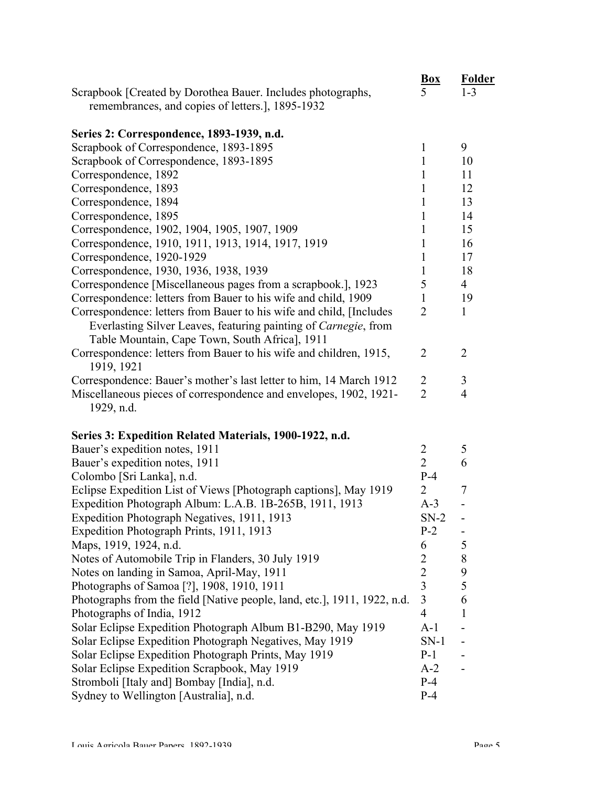|                                                                                  | <b>Box</b>                       | <b>Folder</b>            |
|----------------------------------------------------------------------------------|----------------------------------|--------------------------|
| Scrapbook [Created by Dorothea Bauer. Includes photographs,                      | 5                                | $1 - 3$                  |
| remembrances, and copies of letters.], 1895-1932                                 |                                  |                          |
|                                                                                  |                                  |                          |
| Series 2: Correspondence, 1893-1939, n.d.                                        |                                  |                          |
| Scrapbook of Correspondence, 1893-1895                                           | $\mathbf{1}$                     | 9                        |
| Scrapbook of Correspondence, 1893-1895                                           | 1                                | 10                       |
| Correspondence, 1892                                                             | 1                                | 11                       |
| Correspondence, 1893                                                             | 1                                | 12                       |
| Correspondence, 1894                                                             | 1                                | 13                       |
| Correspondence, 1895                                                             | 1                                | 14                       |
| Correspondence, 1902, 1904, 1905, 1907, 1909                                     | 1                                | 15                       |
| Correspondence, 1910, 1911, 1913, 1914, 1917, 1919                               | 1                                | 16                       |
| Correspondence, 1920-1929                                                        | 1                                | 17                       |
| Correspondence, 1930, 1936, 1938, 1939                                           | 1                                | 18                       |
| Correspondence [Miscellaneous pages from a scrapbook.], 1923                     | 5                                | $\overline{4}$           |
| Correspondence: letters from Bauer to his wife and child, 1909                   | 1                                | 19                       |
| Correspondence: letters from Bauer to his wife and child, [Includes]             | $\overline{2}$                   | $\mathbf{1}$             |
| Everlasting Silver Leaves, featuring painting of Carnegie, from                  |                                  |                          |
| Table Mountain, Cape Town, South Africa], 1911                                   |                                  |                          |
| Correspondence: letters from Bauer to his wife and children, 1915,<br>1919, 1921 | $\overline{2}$                   | $\overline{2}$           |
| Correspondence: Bauer's mother's last letter to him, 14 March 1912               | $\overline{2}$                   | 3                        |
| Miscellaneous pieces of correspondence and envelopes, 1902, 1921-                | $\overline{2}$                   | $\overline{4}$           |
| 1929, n.d.                                                                       |                                  |                          |
|                                                                                  |                                  |                          |
| Series 3: Expedition Related Materials, 1900-1922, n.d.                          |                                  |                          |
| Bauer's expedition notes, 1911                                                   | $\overline{2}$                   | 5                        |
| Bauer's expedition notes, 1911                                                   | $\overline{2}$                   | 6                        |
| Colombo [Sri Lanka], n.d.                                                        | $P-4$                            |                          |
| Eclipse Expedition List of Views [Photograph captions], May 1919                 | 2                                | 7                        |
| Expedition Photograph Album: L.A.B. 1B-265B, 1911, 1913                          | $A-3$                            |                          |
| Expedition Photograph Negatives, 1911, 1913                                      | $SN-2$                           | -                        |
| Expedition Photograph Prints, 1911, 1913                                         | $P-2$                            | ۰                        |
| Maps, 1919, 1924, n.d.                                                           | 6                                | 5                        |
| Notes of Automobile Trip in Flanders, 30 July 1919                               | $\overline{2}$                   | 8                        |
| Notes on landing in Samoa, April-May, 1911                                       | $\overline{2}$<br>$\overline{3}$ | 9<br>5                   |
| Photographs of Samoa [?], 1908, 1910, 1911                                       | $\overline{3}$                   |                          |
| Photographs from the field [Native people, land, etc.], 1911, 1922, n.d.         | $\overline{4}$                   | 6                        |
| Photographs of India, 1912                                                       |                                  | 1                        |
| Solar Eclipse Expedition Photograph Album B1-B290, May 1919                      | $A-1$                            | $\overline{\phantom{0}}$ |
| Solar Eclipse Expedition Photograph Negatives, May 1919                          | $SN-1$                           |                          |
| Solar Eclipse Expedition Photograph Prints, May 1919                             | $P-1$                            |                          |
| Solar Eclipse Expedition Scrapbook, May 1919                                     | $A-2$<br>$P-4$                   |                          |
| Stromboli [Italy and] Bombay [India], n.d.                                       |                                  |                          |
| Sydney to Wellington [Australia], n.d.                                           | $P-4$                            |                          |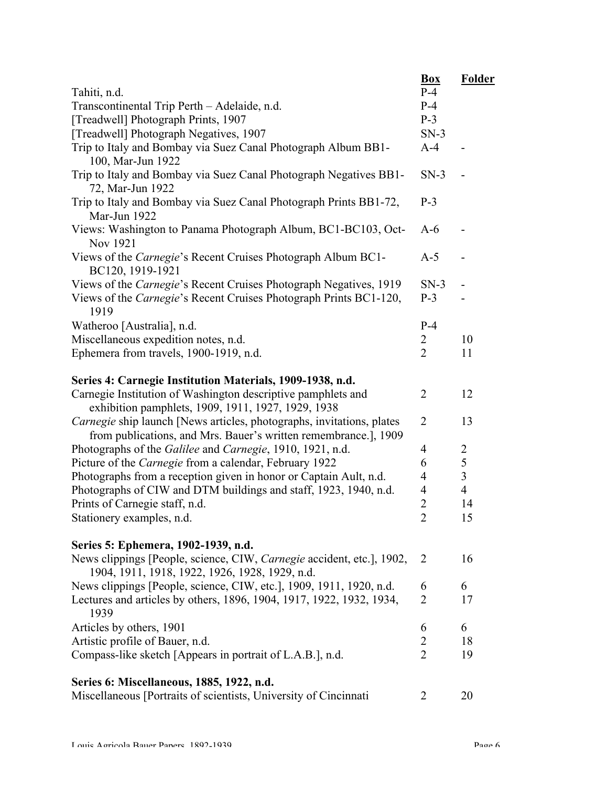|                                                                                                                                          | <b>Box</b>      | <b>Folder</b>  |
|------------------------------------------------------------------------------------------------------------------------------------------|-----------------|----------------|
| Tahiti, n.d.                                                                                                                             | $P-4$           |                |
| Transcontinental Trip Perth - Adelaide, n.d.                                                                                             | $P-4$           |                |
| [Treadwell] Photograph Prints, 1907                                                                                                      | $P-3$           |                |
| [Treadwell] Photograph Negatives, 1907                                                                                                   | $SN-3$<br>$A-4$ |                |
| Trip to Italy and Bombay via Suez Canal Photograph Album BB1-<br>100, Mar-Jun 1922                                                       |                 |                |
| Trip to Italy and Bombay via Suez Canal Photograph Negatives BB1-<br>72, Mar-Jun 1922                                                    | $SN-3$          |                |
| Trip to Italy and Bombay via Suez Canal Photograph Prints BB1-72,<br>Mar-Jun 1922                                                        | $P-3$           |                |
| Views: Washington to Panama Photograph Album, BC1-BC103, Oct-<br>Nov 1921                                                                | $A-6$           |                |
| Views of the <i>Carnegie's</i> Recent Cruises Photograph Album BC1-<br>BC120, 1919-1921                                                  | $A-5$           |                |
| Views of the <i>Carnegie's</i> Recent Cruises Photograph Negatives, 1919                                                                 | $SN-3$          |                |
| Views of the <i>Carnegie's</i> Recent Cruises Photograph Prints BC1-120,<br>1919                                                         | $P-3$           |                |
| Watheroo [Australia], n.d.                                                                                                               | $P-4$           |                |
| Miscellaneous expedition notes, n.d.                                                                                                     | 2               | 10             |
| Ephemera from travels, 1900-1919, n.d.                                                                                                   | $\overline{2}$  | 11             |
| Series 4: Carnegie Institution Materials, 1909-1938, n.d.                                                                                |                 |                |
| Carnegie Institution of Washington descriptive pamphlets and<br>exhibition pamphlets, 1909, 1911, 1927, 1929, 1938                       | $\overline{2}$  | 12             |
| Carnegie ship launch [News articles, photographs, invitations, plates<br>from publications, and Mrs. Bauer's written remembrance.], 1909 | $\overline{2}$  | 13             |
| Photographs of the Galilee and Carnegie, 1910, 1921, n.d.                                                                                | $\overline{4}$  | 2              |
| Picture of the Carnegie from a calendar, February 1922                                                                                   | 6               | 5              |
| Photographs from a reception given in honor or Captain Ault, n.d.                                                                        | $\overline{4}$  | 3              |
| Photographs of CIW and DTM buildings and staff, 1923, 1940, n.d.                                                                         | $\overline{4}$  | $\overline{4}$ |
| Prints of Carnegie staff, n.d.                                                                                                           | $\overline{2}$  | 14             |
| Stationery examples, n.d.                                                                                                                | $\overline{2}$  | 15             |
| Series 5: Ephemera, 1902-1939, n.d.                                                                                                      |                 |                |
| News clippings [People, science, CIW, <i>Carnegie</i> accident, etc.], 1902,<br>1904, 1911, 1918, 1922, 1926, 1928, 1929, n.d.           | $\overline{2}$  | 16             |
| News clippings [People, science, CIW, etc.], 1909, 1911, 1920, n.d.                                                                      | 6               | 6              |
| Lectures and articles by others, 1896, 1904, 1917, 1922, 1932, 1934,<br>1939                                                             | $\overline{2}$  | 17             |
| Articles by others, 1901                                                                                                                 | 6               | 6              |
| Artistic profile of Bauer, n.d.                                                                                                          | $\overline{2}$  | 18             |
| Compass-like sketch [Appears in portrait of L.A.B.], n.d.                                                                                | $\overline{2}$  | 19             |
| Series 6: Miscellaneous, 1885, 1922, n.d.                                                                                                |                 |                |
| Miscellaneous [Portraits of scientists, University of Cincinnati                                                                         | 2               | 20             |